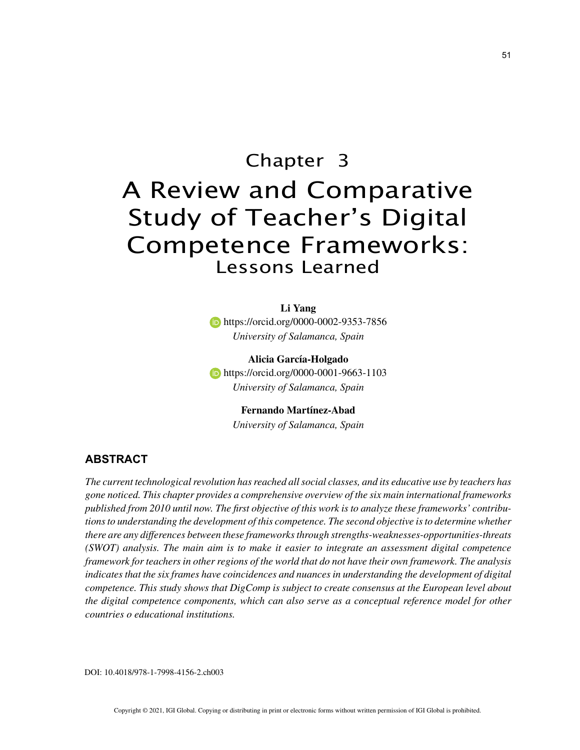# Chapter 3 A Review and Comparative Study of Teacher's Digital

## Competence Frameworks: Lessons Learned

**Li Yang**

**https://orcid.org/0000-0002-9353-7856** *University of Salamanca, Spain*

**Alicia García-Holgado b** https://orcid.org/0000-0001-9663-1103 *University of Salamanca, Spain*

> **Fernando Martínez-Abad** *University of Salamanca, Spain*

## **ABSTRACT**

*The current technological revolution has reached all social classes, and its educative use by teachers has gone noticed. This chapter provides a comprehensive overview of the six main international frameworks published from 2010 until now. The first objective of this work is to analyze these frameworks' contributions to understanding the development of this competence. The second objective is to determine whether there are any differences between these frameworks through strengths-weaknesses-opportunities-threats (SWOT) analysis. The main aim is to make it easier to integrate an assessment digital competence framework for teachers in other regions of the world that do not have their own framework. The analysis indicates that the six frames have coincidences and nuances in understanding the development of digital competence. This study shows that DigComp is subject to create consensus at the European level about the digital competence components, which can also serve as a conceptual reference model for other countries o educational institutions.*

DOI: 10.4018/978-1-7998-4156-2.ch003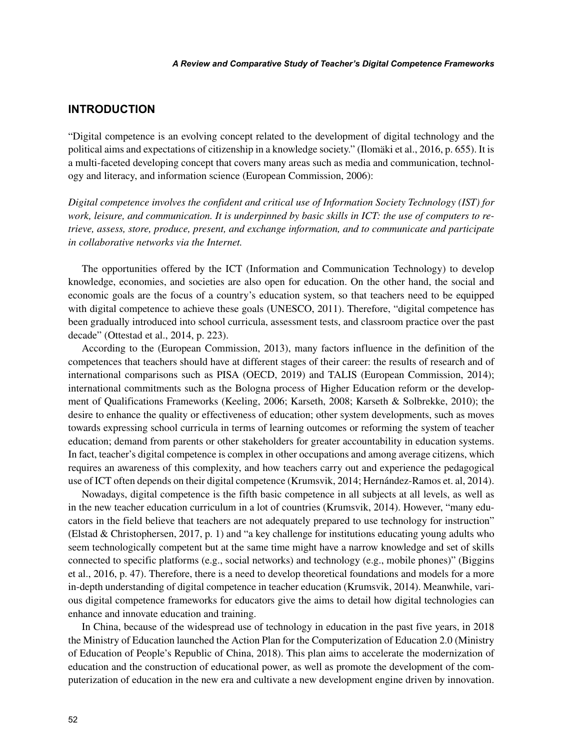### **INTRODUCTION**

"Digital competence is an evolving concept related to the development of digital technology and the political aims and expectations of citizenship in a knowledge society." (Ilomäki et al., 2016, p. 655). It is a multi-faceted developing concept that covers many areas such as media and communication, technology and literacy, and information science (European Commission, 2006):

*Digital competence involves the confident and critical use of Information Society Technology (IST) for work, leisure, and communication. It is underpinned by basic skills in ICT: the use of computers to retrieve, assess, store, produce, present, and exchange information, and to communicate and participate in collaborative networks via the Internet.*

The opportunities offered by the ICT (Information and Communication Technology) to develop knowledge, economies, and societies are also open for education. On the other hand, the social and economic goals are the focus of a country's education system, so that teachers need to be equipped with digital competence to achieve these goals (UNESCO, 2011). Therefore, "digital competence has been gradually introduced into school curricula, assessment tests, and classroom practice over the past decade" (Ottestad et al., 2014, p. 223).

According to the (European Commission, 2013), many factors influence in the definition of the competences that teachers should have at different stages of their career: the results of research and of international comparisons such as PISA (OECD, 2019) and TALIS (European Commission, 2014); international commitments such as the Bologna process of Higher Education reform or the development of Qualifications Frameworks (Keeling, 2006; Karseth, 2008; Karseth & Solbrekke, 2010); the desire to enhance the quality or effectiveness of education; other system developments, such as moves towards expressing school curricula in terms of learning outcomes or reforming the system of teacher education; demand from parents or other stakeholders for greater accountability in education systems. In fact, teacher's digital competence is complex in other occupations and among average citizens, which requires an awareness of this complexity, and how teachers carry out and experience the pedagogical use of ICT often depends on their digital competence (Krumsvik, 2014; Hernández-Ramos et. al, 2014).

Nowadays, digital competence is the fifth basic competence in all subjects at all levels, as well as in the new teacher education curriculum in a lot of countries (Krumsvik, 2014). However, "many educators in the field believe that teachers are not adequately prepared to use technology for instruction" (Elstad & Christophersen, 2017, p. 1) and "a key challenge for institutions educating young adults who seem technologically competent but at the same time might have a narrow knowledge and set of skills connected to specific platforms (e.g., social networks) and technology (e.g., mobile phones)" (Biggins et al., 2016, p. 47). Therefore, there is a need to develop theoretical foundations and models for a more in-depth understanding of digital competence in teacher education (Krumsvik, 2014). Meanwhile, various digital competence frameworks for educators give the aims to detail how digital technologies can enhance and innovate education and training.

In China, because of the widespread use of technology in education in the past five years, in 2018 the Ministry of Education launched the Action Plan for the Computerization of Education 2.0 (Ministry of Education of People's Republic of China, 2018). This plan aims to accelerate the modernization of education and the construction of educational power, as well as promote the development of the computerization of education in the new era and cultivate a new development engine driven by innovation.